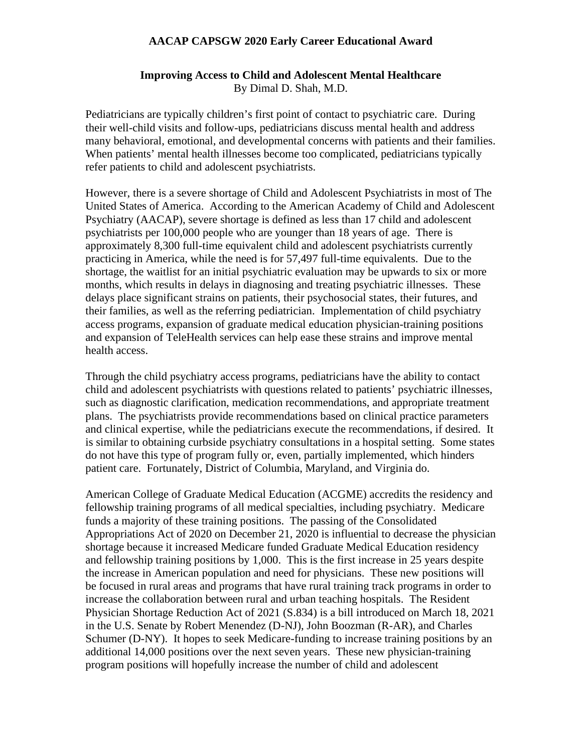## **AACAP CAPSGW 2020 Early Career Educational Award**

## **Improving Access to Child and Adolescent Mental Healthcare** By Dimal D. Shah, M.D.

Pediatricians are typically children's first point of contact to psychiatric care. During their well-child visits and follow-ups, pediatricians discuss mental health and address many behavioral, emotional, and developmental concerns with patients and their families. When patients' mental health illnesses become too complicated, pediatricians typically refer patients to child and adolescent psychiatrists.

However, there is a severe shortage of Child and Adolescent Psychiatrists in most of The United States of America. According to the American Academy of Child and Adolescent Psychiatry (AACAP), severe shortage is defined as less than 17 child and adolescent psychiatrists per 100,000 people who are younger than 18 years of age. There is approximately 8,300 full-time equivalent child and adolescent psychiatrists currently practicing in America, while the need is for 57,497 full-time equivalents. Due to the shortage, the waitlist for an initial psychiatric evaluation may be upwards to six or more months, which results in delays in diagnosing and treating psychiatric illnesses. These delays place significant strains on patients, their psychosocial states, their futures, and their families, as well as the referring pediatrician. Implementation of child psychiatry access programs, expansion of graduate medical education physician-training positions and expansion of TeleHealth services can help ease these strains and improve mental health access.

Through the child psychiatry access programs, pediatricians have the ability to contact child and adolescent psychiatrists with questions related to patients' psychiatric illnesses, such as diagnostic clarification, medication recommendations, and appropriate treatment plans. The psychiatrists provide recommendations based on clinical practice parameters and clinical expertise, while the pediatricians execute the recommendations, if desired. It is similar to obtaining curbside psychiatry consultations in a hospital setting. Some states do not have this type of program fully or, even, partially implemented, which hinders patient care. Fortunately, District of Columbia, Maryland, and Virginia do.

American College of Graduate Medical Education (ACGME) accredits the residency and fellowship training programs of all medical specialties, including psychiatry. Medicare funds a majority of these training positions. The passing of the Consolidated Appropriations Act of 2020 on December 21, 2020 is influential to decrease the physician shortage because it increased Medicare funded Graduate Medical Education residency and fellowship training positions by 1,000. This is the first increase in 25 years despite the increase in American population and need for physicians. These new positions will be focused in rural areas and programs that have rural training track programs in order to increase the collaboration between rural and urban teaching hospitals. The Resident Physician Shortage Reduction Act of 2021 (S.834) is a bill introduced on March 18, 2021 in the U.S. Senate by Robert Menendez (D-NJ), John Boozman (R-AR), and Charles Schumer (D-NY). It hopes to seek Medicare-funding to increase training positions by an additional 14,000 positions over the next seven years. These new physician-training program positions will hopefully increase the number of child and adolescent